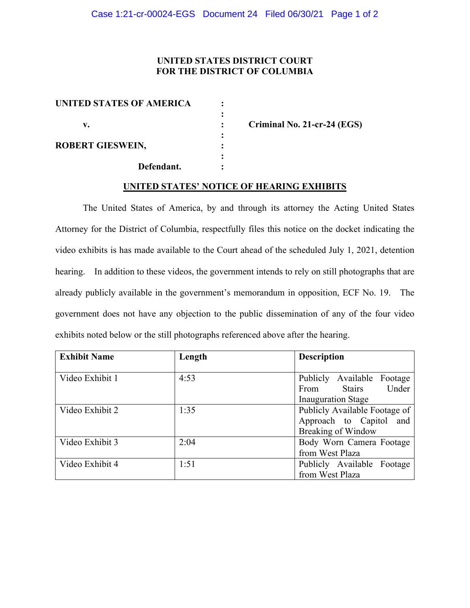## **UNITED STATES DISTRICT COURT FOR THE DISTRICT OF COLUMBIA**

| <b>UNITED STATES OF AMERICA</b> |  |
|---------------------------------|--|
| v.                              |  |
| <b>ROBERT GIESWEIN,</b>         |  |
| Defendant.                      |  |

**v. : Criminal No. 21-cr-24 (EGS)**

## **UNITED STATES' NOTICE OF HEARING EXHIBITS**

The United States of America, by and through its attorney the Acting United States Attorney for the District of Columbia, respectfully files this notice on the docket indicating the video exhibits is has made available to the Court ahead of the scheduled July 1, 2021, detention hearing. In addition to these videos, the government intends to rely on still photographs that are already publicly available in the government's memorandum in opposition, ECF No. 19. The government does not have any objection to the public dissemination of any of the four video exhibits noted below or the still photographs referenced above after the hearing.

| <b>Exhibit Name</b> | Length | <b>Description</b>             |  |
|---------------------|--------|--------------------------------|--|
|                     |        |                                |  |
| Video Exhibit 1     | 4:53   | Publicly Available Footage     |  |
|                     |        | Under<br><b>Stairs</b><br>From |  |
|                     |        | <b>Inauguration Stage</b>      |  |
| Video Exhibit 2     | 1:35   | Publicly Available Footage of  |  |
|                     |        | Approach to Capitol and        |  |
|                     |        | <b>Breaking of Window</b>      |  |
| Video Exhibit 3     | 2:04   | Body Worn Camera Footage       |  |
|                     |        | from West Plaza                |  |
| Video Exhibit 4     | 1:51   | Publicly Available Footage     |  |
|                     |        | from West Plaza                |  |